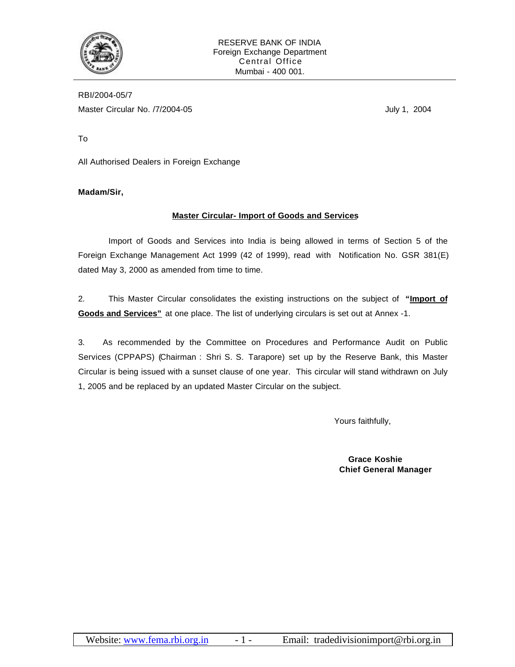

RBI/2004-05/7 Master Circular No. /7/2004-05 July 1, 2004

To

All Authorised Dealers in Foreign Exchange

**Madam/Sir,**

# **Master Circular- Import of Goods and Services**

Import of Goods and Services into India is being allowed in terms of Section 5 of the Foreign Exchange Management Act 1999 (42 of 1999), read with Notification No. GSR 381(E) dated May 3, 2000 as amended from time to time.

2. This Master Circular consolidates the existing instructions on the subject of **"Import of Goods and Services"** at one place. The list of underlying circulars is set out at Annex -1.

3. As recommended by the Committee on Procedures and Performance Audit on Public Services (CPPAPS) (Chairman : Shri S. S. Tarapore) set up by the Reserve Bank, this Master Circular is being issued with a sunset clause of one year. This circular will stand withdrawn on July 1, 2005 and be replaced by an updated Master Circular on the subject.

Yours faithfully,

 **Grace Koshie Chief General Manager**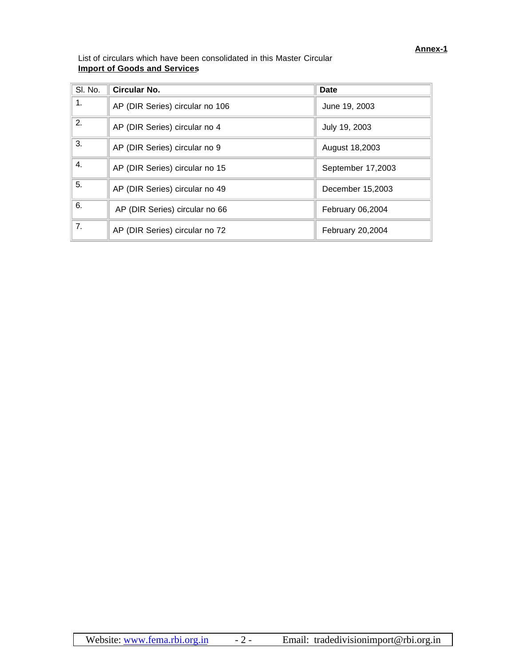List of circulars which have been consolidated in this Master Circular **Import of Goods and Services**

| SI. No. | <b>Circular No.</b>             | <b>Date</b>       |
|---------|---------------------------------|-------------------|
| 1.      | AP (DIR Series) circular no 106 | June 19, 2003     |
| 2.      | AP (DIR Series) circular no 4   | July 19, 2003     |
| 3.      | AP (DIR Series) circular no 9   | August 18,2003    |
| 4.      | AP (DIR Series) circular no 15  | September 17,2003 |
| 5.      | AP (DIR Series) circular no 49  | December 15,2003  |
| 6.      | AP (DIR Series) circular no 66  | February 06,2004  |
| 7.      | AP (DIR Series) circular no 72  | February 20,2004  |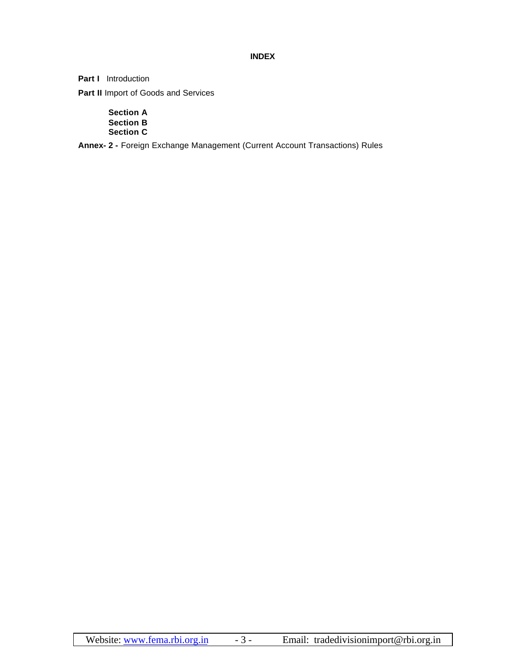# **INDEX**

**Part I** Introduction

**Part II Import of Goods and Services** 

**Section A Section B Section C**

**Annex- 2 -** Foreign Exchange Management (Current Account Transactions) Rules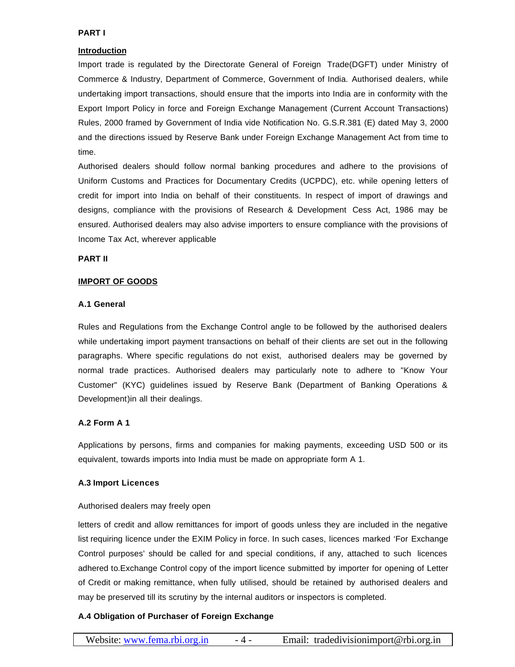#### **PART I**

## **Introduction**

Import trade is regulated by the Directorate General of Foreign Trade(DGFT) under Ministry of Commerce & Industry, Department of Commerce, Government of India. Authorised dealers, while undertaking import transactions, should ensure that the imports into India are in conformity with the Export Import Policy in force and Foreign Exchange Management (Current Account Transactions) Rules, 2000 framed by Government of India vide Notification No. G.S.R.381 (E) dated May 3, 2000 and the directions issued by Reserve Bank under Foreign Exchange Management Act from time to time.

Authorised dealers should follow normal banking procedures and adhere to the provisions of Uniform Customs and Practices for Documentary Credits (UCPDC), etc. while opening letters of credit for import into India on behalf of their constituents. In respect of import of drawings and designs, compliance with the provisions of Research & Development Cess Act, 1986 may be ensured. Authorised dealers may also advise importers to ensure compliance with the provisions of Income Tax Act, wherever applicable

### **PART II**

### **IMPORT OF GOODS**

### **A.1 General**

Rules and Regulations from the Exchange Control angle to be followed by the authorised dealers while undertaking import payment transactions on behalf of their clients are set out in the following paragraphs. Where specific regulations do not exist, authorised dealers may be governed by normal trade practices. Authorised dealers may particularly note to adhere to "Know Your Customer" (KYC) guidelines issued by Reserve Bank (Department of Banking Operations & Development)in all their dealings.

## **A.2 Form A 1**

Applications by persons, firms and companies for making payments, exceeding USD 500 or its equivalent, towards imports into India must be made on appropriate form A 1.

#### **A.3 Import Licences**

## Authorised dealers may freely open

letters of credit and allow remittances for import of goods unless they are included in the negative list requiring licence under the EXIM Policy in force. In such cases, licences marked 'For Exchange Control purposes' should be called for and special conditions, if any, attached to such licences adhered to.Exchange Control copy of the import licence submitted by importer for opening of Letter of Credit or making remittance, when fully utilised, should be retained by authorised dealers and may be preserved till its scrutiny by the internal auditors or inspectors is completed.

## **A.4 Obligation of Purchaser of Foreign Exchange**

| Website: www.fema.rbi.org.in | - 4 - | Email: tradedivisionimport@rbi.org.in |
|------------------------------|-------|---------------------------------------|
|------------------------------|-------|---------------------------------------|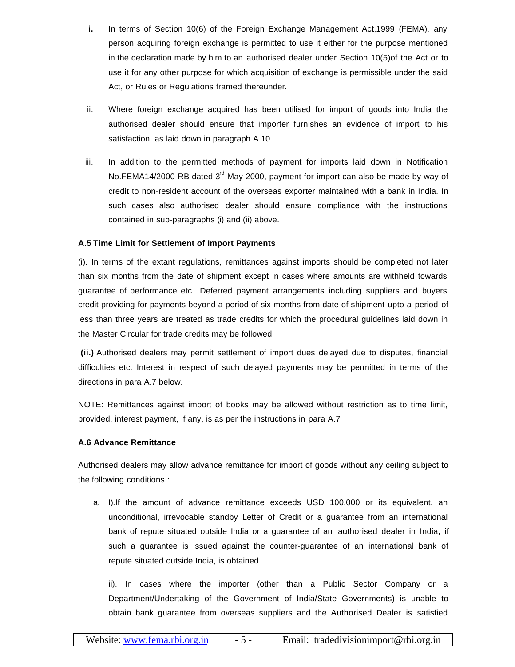- **i.** In terms of Section 10(6) of the Foreign Exchange Management Act,1999 (FEMA), any person acquiring foreign exchange is permitted to use it either for the purpose mentioned in the declaration made by him to an authorised dealer under Section 10(5)of the Act or to use it for any other purpose for which acquisition of exchange is permissible under the said Act, or Rules or Regulations framed thereunder**.**
- ii. Where foreign exchange acquired has been utilised for import of goods into India the authorised dealer should ensure that importer furnishes an evidence of import to his satisfaction, as laid down in paragraph A.10.
- iii. In addition to the permitted methods of payment for imports laid down in Notification No.FEMA14/2000-RB dated  $3<sup>rd</sup>$  May 2000, payment for import can also be made by way of credit to non-resident account of the overseas exporter maintained with a bank in India. In such cases also authorised dealer should ensure compliance with the instructions contained in sub-paragraphs (i) and (ii) above.

### **A.5 Time Limit for Settlement of Import Payments**

(i). In terms of the extant regulations, remittances against imports should be completed not later than six months from the date of shipment except in cases where amounts are withheld towards guarantee of performance etc. Deferred payment arrangements including suppliers and buyers credit providing for payments beyond a period of six months from date of shipment upto a period of less than three years are treated as trade credits for which the procedural guidelines laid down in the Master Circular for trade credits may be followed.

 **(ii.)** Authorised dealers may permit settlement of import dues delayed due to disputes, financial difficulties etc. Interest in respect of such delayed payments may be permitted in terms of the directions in para A.7 below.

NOTE: Remittances against import of books may be allowed without restriction as to time limit, provided, interest payment, if any, is as per the instructions in para A.7

#### **A.6 Advance Remittance**

Authorised dealers may allow advance remittance for import of goods without any ceiling subject to the following conditions :

a. I).If the amount of advance remittance exceeds USD 100,000 or its equivalent, an unconditional, irrevocable standby Letter of Credit or a guarantee from an international bank of repute situated outside India or a guarantee of an authorised dealer in India, if such a guarantee is issued against the counter-guarantee of an international bank of repute situated outside India, is obtained.

ii). In cases where the importer (other than a Public Sector Company or a Department/Undertaking of the Government of India/State Governments) is unable to obtain bank guarantee from overseas suppliers and the Authorised Dealer is satisfied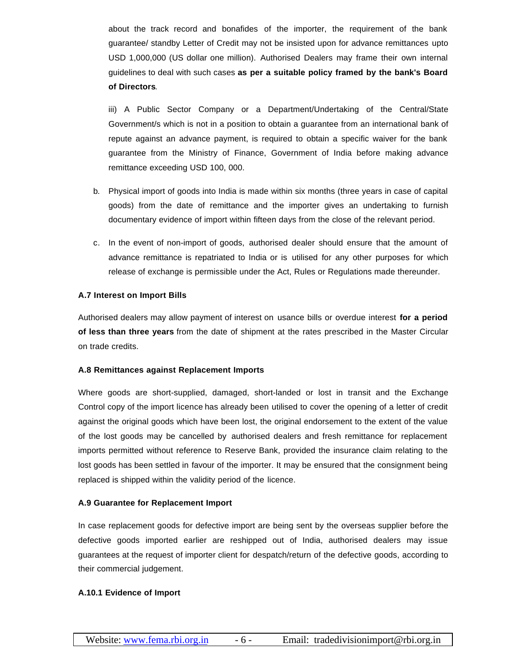about the track record and bonafides of the importer, the requirement of the bank guarantee/ standby Letter of Credit may not be insisted upon for advance remittances upto USD 1,000,000 (US dollar one million). Authorised Dealers may frame their own internal guidelines to deal with such cases **as per a suitable policy framed by the bank's Board of Directors**.

iii) A Public Sector Company or a Department/Undertaking of the Central/State Government/s which is not in a position to obtain a guarantee from an international bank of repute against an advance payment, is required to obtain a specific waiver for the bank guarantee from the Ministry of Finance, Government of India before making advance remittance exceeding USD 100, 000.

- b. Physical import of goods into India is made within six months (three years in case of capital goods) from the date of remittance and the importer gives an undertaking to furnish documentary evidence of import within fifteen days from the close of the relevant period.
- c. In the event of non-import of goods, authorised dealer should ensure that the amount of advance remittance is repatriated to India or is utilised for any other purposes for which release of exchange is permissible under the Act, Rules or Regulations made thereunder.

#### **A.7 Interest on Import Bills**

Authorised dealers may allow payment of interest on usance bills or overdue interest **for a period of less than three years** from the date of shipment at the rates prescribed in the Master Circular on trade credits.

#### **A.8 Remittances against Replacement Imports**

Where goods are short-supplied, damaged, short-landed or lost in transit and the Exchange Control copy of the import licence has already been utilised to cover the opening of a letter of credit against the original goods which have been lost, the original endorsement to the extent of the value of the lost goods may be cancelled by authorised dealers and fresh remittance for replacement imports permitted without reference to Reserve Bank, provided the insurance claim relating to the lost goods has been settled in favour of the importer. It may be ensured that the consignment being replaced is shipped within the validity period of the licence.

#### **A.9 Guarantee for Replacement Import**

In case replacement goods for defective import are being sent by the overseas supplier before the defective goods imported earlier are reshipped out of India, authorised dealers may issue guarantees at the request of importer client for despatch/return of the defective goods, according to their commercial judgement.

## **A.10.1 Evidence of Import**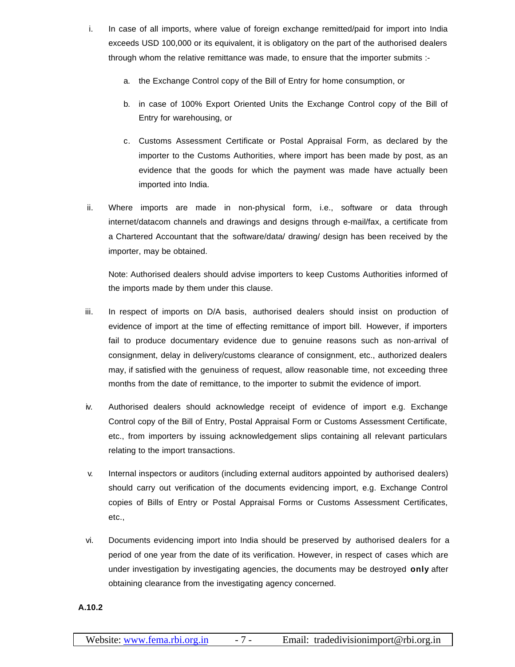- i. In case of all imports, where value of foreign exchange remitted/paid for import into India exceeds USD 100,000 or its equivalent, it is obligatory on the part of the authorised dealers through whom the relative remittance was made, to ensure that the importer submits :
	- a. the Exchange Control copy of the Bill of Entry for home consumption, or
	- b. in case of 100% Export Oriented Units the Exchange Control copy of the Bill of Entry for warehousing, or
	- c. Customs Assessment Certificate or Postal Appraisal Form, as declared by the importer to the Customs Authorities, where import has been made by post, as an evidence that the goods for which the payment was made have actually been imported into India.
- ii. Where imports are made in non-physical form, i.e., software or data through internet/datacom channels and drawings and designs through e-mail/fax, a certificate from a Chartered Accountant that the software/data/ drawing/ design has been received by the importer, may be obtained.

Note: Authorised dealers should advise importers to keep Customs Authorities informed of the imports made by them under this clause.

- iii. In respect of imports on D/A basis, authorised dealers should insist on production of evidence of import at the time of effecting remittance of import bill. However, if importers fail to produce documentary evidence due to genuine reasons such as non-arrival of consignment, delay in delivery/customs clearance of consignment, etc., authorized dealers may, if satisfied with the genuiness of request, allow reasonable time, not exceeding three months from the date of remittance, to the importer to submit the evidence of import.
- iv. Authorised dealers should acknowledge receipt of evidence of import e.g. Exchange Control copy of the Bill of Entry, Postal Appraisal Form or Customs Assessment Certificate, etc., from importers by issuing acknowledgement slips containing all relevant particulars relating to the import transactions.
- v. Internal inspectors or auditors (including external auditors appointed by authorised dealers) should carry out verification of the documents evidencing import, e.g. Exchange Control copies of Bills of Entry or Postal Appraisal Forms or Customs Assessment Certificates, etc.,
- vi. Documents evidencing import into India should be preserved by authorised dealers for a period of one year from the date of its verification. However, in respect of cases which are under investigation by investigating agencies, the documents may be destroyed **only** after obtaining clearance from the investigating agency concerned.

**A.10.2**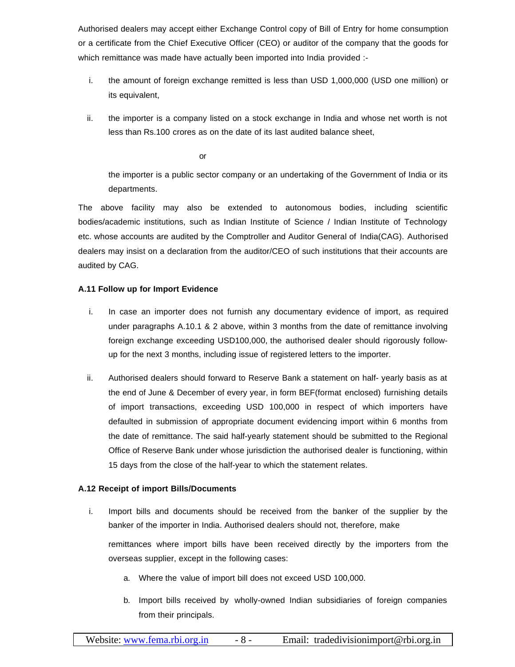Authorised dealers may accept either Exchange Control copy of Bill of Entry for home consumption or a certificate from the Chief Executive Officer (CEO) or auditor of the company that the goods for which remittance was made have actually been imported into India provided :-

- i. the amount of foreign exchange remitted is less than USD 1,000,000 (USD one million) or its equivalent,
- ii. the importer is a company listed on a stock exchange in India and whose net worth is not less than Rs.100 crores as on the date of its last audited balance sheet,

or

the importer is a public sector company or an undertaking of the Government of India or its departments.

The above facility may also be extended to autonomous bodies, including scientific bodies/academic institutions, such as Indian Institute of Science / Indian Institute of Technology etc. whose accounts are audited by the Comptroller and Auditor General of India(CAG). Authorised dealers may insist on a declaration from the auditor/CEO of such institutions that their accounts are audited by CAG.

# **A.11 Follow up for Import Evidence**

- i. In case an importer does not furnish any documentary evidence of import, as required under paragraphs A.10.1 & 2 above, within 3 months from the date of remittance involving foreign exchange exceeding USD100,000, the authorised dealer should rigorously followup for the next 3 months, including issue of registered letters to the importer.
- ii. Authorised dealers should forward to Reserve Bank a statement on half- yearly basis as at the end of June & December of every year, in form BEF(format enclosed) furnishing details of import transactions, exceeding USD 100,000 in respect of which importers have defaulted in submission of appropriate document evidencing import within 6 months from the date of remittance. The said half-yearly statement should be submitted to the Regional Office of Reserve Bank under whose jurisdiction the authorised dealer is functioning, within 15 days from the close of the half-year to which the statement relates.

# **A.12 Receipt of import Bills/Documents**

i. Import bills and documents should be received from the banker of the supplier by the banker of the importer in India. Authorised dealers should not, therefore, make

remittances where import bills have been received directly by the importers from the overseas supplier, except in the following cases:

- a. Where the value of import bill does not exceed USD 100,000.
- b. Import bills received by wholly-owned Indian subsidiaries of foreign companies from their principals.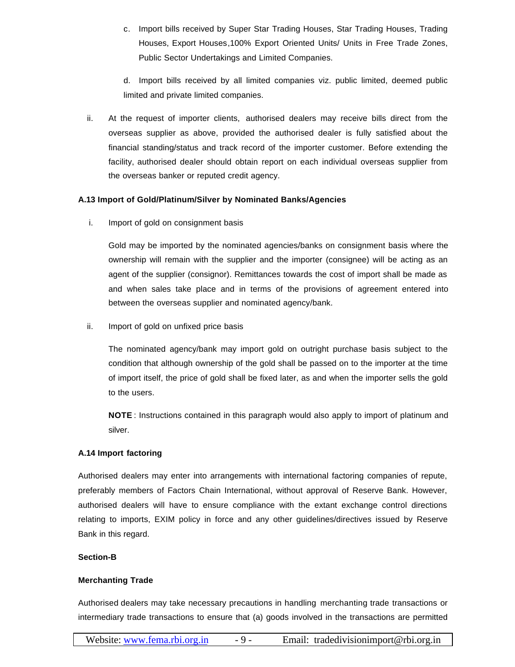c. Import bills received by Super Star Trading Houses, Star Trading Houses, Trading Houses, Export Houses,100% Export Oriented Units/ Units in Free Trade Zones, Public Sector Undertakings and Limited Companies.

d. Import bills received by all limited companies viz. public limited, deemed public limited and private limited companies.

ii. At the request of importer clients, authorised dealers may receive bills direct from the overseas supplier as above, provided the authorised dealer is fully satisfied about the financial standing/status and track record of the importer customer. Before extending the facility, authorised dealer should obtain report on each individual overseas supplier from the overseas banker or reputed credit agency.

### **A.13 Import of Gold/Platinum/Silver by Nominated Banks/Agencies**

i. Import of gold on consignment basis

Gold may be imported by the nominated agencies/banks on consignment basis where the ownership will remain with the supplier and the importer (consignee) will be acting as an agent of the supplier (consignor). Remittances towards the cost of import shall be made as and when sales take place and in terms of the provisions of agreement entered into between the overseas supplier and nominated agency/bank.

ii. Import of gold on unfixed price basis

The nominated agency/bank may import gold on outright purchase basis subject to the condition that although ownership of the gold shall be passed on to the importer at the time of import itself, the price of gold shall be fixed later, as and when the importer sells the gold to the users.

**NOTE** : Instructions contained in this paragraph would also apply to import of platinum and silver.

## **A.14 Import factoring**

Authorised dealers may enter into arrangements with international factoring companies of repute, preferably members of Factors Chain International, without approval of Reserve Bank. However, authorised dealers will have to ensure compliance with the extant exchange control directions relating to imports, EXIM policy in force and any other guidelines/directives issued by Reserve Bank in this regard.

#### **Section-B**

## **Merchanting Trade**

Authorised dealers may take necessary precautions in handling merchanting trade transactions or intermediary trade transactions to ensure that (a) goods involved in the transactions are permitted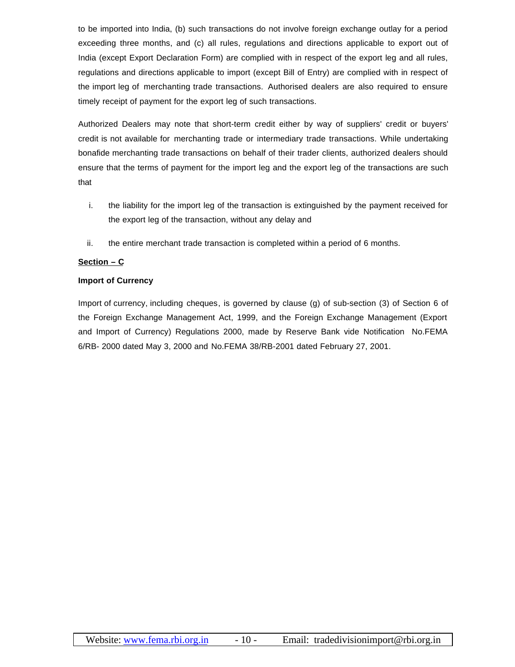to be imported into India, (b) such transactions do not involve foreign exchange outlay for a period exceeding three months, and (c) all rules, regulations and directions applicable to export out of India (except Export Declaration Form) are complied with in respect of the export leg and all rules, regulations and directions applicable to import (except Bill of Entry) are complied with in respect of the import leg of merchanting trade transactions. Authorised dealers are also required to ensure timely receipt of payment for the export leg of such transactions.

Authorized Dealers may note that short-term credit either by way of suppliers' credit or buyers' credit is not available for merchanting trade or intermediary trade transactions. While undertaking bonafide merchanting trade transactions on behalf of their trader clients, authorized dealers should ensure that the terms of payment for the import leg and the export leg of the transactions are such that

- i. the liability for the import leg of the transaction is extinguished by the payment received for the export leg of the transaction, without any delay and
- ii. the entire merchant trade transaction is completed within a period of 6 months.

# **Section – C**

## **Import of Currency**

Import of currency, including cheques, is governed by clause (g) of sub-section (3) of Section 6 of the Foreign Exchange Management Act, 1999, and the Foreign Exchange Management (Export and Import of Currency) Regulations 2000, made by Reserve Bank vide Notification No.FEMA 6/RB- 2000 dated May 3, 2000 and No.FEMA 38/RB-2001 dated February 27, 2001.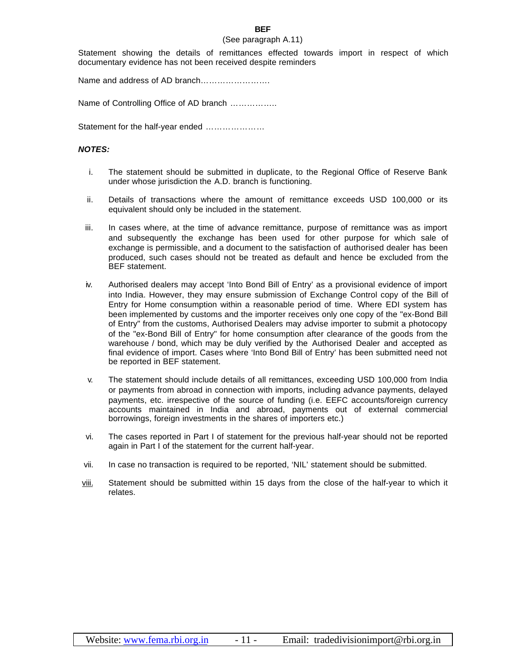#### **BEF**

#### (See paragraph A.11)

Statement showing the details of remittances effected towards import in respect of which documentary evidence has not been received despite reminders

Name and address of AD branch…………………….

Name of Controlling Office of AD branch ……………..

Statement for the half-year ended …………………

#### *NOTES:*

- i. The statement should be submitted in duplicate, to the Regional Office of Reserve Bank under whose jurisdiction the A.D. branch is functioning.
- ii. Details of transactions where the amount of remittance exceeds USD 100,000 or its equivalent should only be included in the statement.
- iii. In cases where, at the time of advance remittance, purpose of remittance was as import and subsequently the exchange has been used for other purpose for which sale of exchange is permissible, and a document to the satisfaction of authorised dealer has been produced, such cases should not be treated as default and hence be excluded from the BEF statement.
- iv. Authorised dealers may accept 'Into Bond Bill of Entry' as a provisional evidence of import into India. However, they may ensure submission of Exchange Control copy of the Bill of Entry for Home consumption within a reasonable period of time. Where EDI system has been implemented by customs and the importer receives only one copy of the "ex-Bond Bill of Entry" from the customs, Authorised Dealers may advise importer to submit a photocopy of the "ex-Bond Bill of Entry" for home consumption after clearance of the goods from the warehouse / bond, which may be duly verified by the Authorised Dealer and accepted as final evidence of import. Cases where 'Into Bond Bill of Entry' has been submitted need not be reported in BEF statement.
- v. The statement should include details of all remittances, exceeding USD 100,000 from India or payments from abroad in connection with imports, including advance payments, delayed payments, etc. irrespective of the source of funding (i.e. EEFC accounts/foreign currency accounts maintained in India and abroad, payments out of external commercial borrowings, foreign investments in the shares of importers etc.)
- vi. The cases reported in Part I of statement for the previous half-year should not be reported again in Part I of the statement for the current half-year.
- vii. In case no transaction is required to be reported, 'NIL' statement should be submitted.
- viii. Statement should be submitted within 15 days from the close of the half-year to which it relates.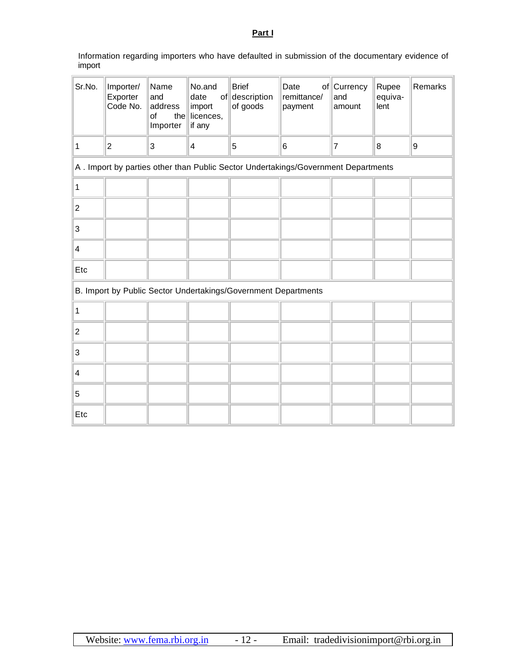**Part I**

Information regarding importers who have defaulted in submission of the documentary evidence of import

| Sr.No.                  | Importer/<br>Exporter<br>Code No.                                                  | Name<br>and<br>address<br>of<br>Importer | No.and<br>date<br>import<br>the licences,<br>if any | <b>Brief</b><br>of description<br>of goods | Date<br>remittance/<br>payment | of Currency<br>and<br>amount | Rupee<br>equiva-<br>lent | Remarks |
|-------------------------|------------------------------------------------------------------------------------|------------------------------------------|-----------------------------------------------------|--------------------------------------------|--------------------------------|------------------------------|--------------------------|---------|
| 1                       | $\boldsymbol{2}$                                                                   | 3                                        | 4                                                   | 5                                          | 6                              | $\overline{7}$               | $\boldsymbol{8}$         | 9       |
|                         | A . Import by parties other than Public Sector Undertakings/Government Departments |                                          |                                                     |                                            |                                |                              |                          |         |
| 1                       |                                                                                    |                                          |                                                     |                                            |                                |                              |                          |         |
| $\overline{\mathbf{c}}$ |                                                                                    |                                          |                                                     |                                            |                                |                              |                          |         |
| 3                       |                                                                                    |                                          |                                                     |                                            |                                |                              |                          |         |
| 4                       |                                                                                    |                                          |                                                     |                                            |                                |                              |                          |         |
| Etc                     |                                                                                    |                                          |                                                     |                                            |                                |                              |                          |         |
|                         | B. Import by Public Sector Undertakings/Government Departments                     |                                          |                                                     |                                            |                                |                              |                          |         |
| 1                       |                                                                                    |                                          |                                                     |                                            |                                |                              |                          |         |
| $\overline{c}$          |                                                                                    |                                          |                                                     |                                            |                                |                              |                          |         |
| 3                       |                                                                                    |                                          |                                                     |                                            |                                |                              |                          |         |
| 4                       |                                                                                    |                                          |                                                     |                                            |                                |                              |                          |         |
| 5                       |                                                                                    |                                          |                                                     |                                            |                                |                              |                          |         |
| Etc                     |                                                                                    |                                          |                                                     |                                            |                                |                              |                          |         |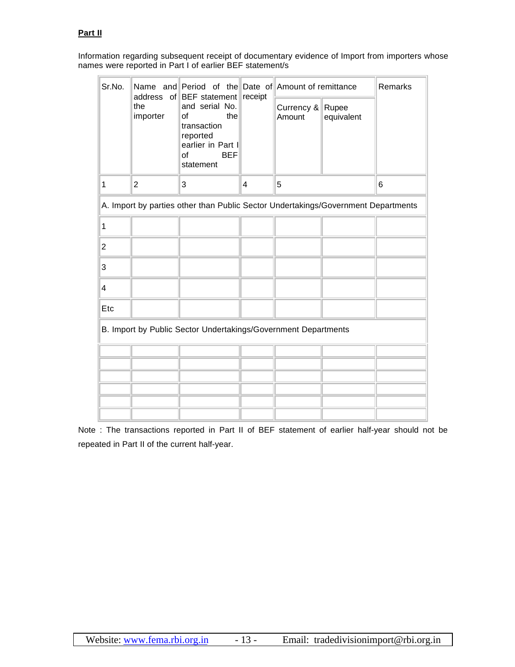# **Part II**

Information regarding subsequent receipt of documentary evidence of Import from importers whose names were reported in Part I of earlier BEF statement/s

| Sr.No.                                                         |                                                                                   |                                                                                                                                                  |                | Name and Period of the Date of Amount of remittance |            | <b>Remarks</b> |
|----------------------------------------------------------------|-----------------------------------------------------------------------------------|--------------------------------------------------------------------------------------------------------------------------------------------------|----------------|-----------------------------------------------------|------------|----------------|
|                                                                | the<br>importer                                                                   | address of BEF statement receipt<br>and serial No.<br>the<br>οf<br>transaction<br>reported<br>earlier in Part I<br><b>BEF</b><br>οf<br>statement |                | Currency & Rupee<br>Amount                          | equivalent |                |
| 1                                                              | 2                                                                                 | 3                                                                                                                                                | $\overline{4}$ | 5                                                   |            | 6              |
|                                                                | A. Import by parties other than Public Sector Undertakings/Government Departments |                                                                                                                                                  |                |                                                     |            |                |
| 1                                                              |                                                                                   |                                                                                                                                                  |                |                                                     |            |                |
| $\overline{c}$                                                 |                                                                                   |                                                                                                                                                  |                |                                                     |            |                |
| 3                                                              |                                                                                   |                                                                                                                                                  |                |                                                     |            |                |
| 4                                                              |                                                                                   |                                                                                                                                                  |                |                                                     |            |                |
| Etc                                                            |                                                                                   |                                                                                                                                                  |                |                                                     |            |                |
| B. Import by Public Sector Undertakings/Government Departments |                                                                                   |                                                                                                                                                  |                |                                                     |            |                |
|                                                                |                                                                                   |                                                                                                                                                  |                |                                                     |            |                |
|                                                                |                                                                                   |                                                                                                                                                  |                |                                                     |            |                |
|                                                                |                                                                                   |                                                                                                                                                  |                |                                                     |            |                |
|                                                                |                                                                                   |                                                                                                                                                  |                |                                                     |            |                |
|                                                                |                                                                                   |                                                                                                                                                  |                |                                                     |            |                |

Note : The transactions reported in Part II of BEF statement of earlier half-year should not be repeated in Part II of the current half-year.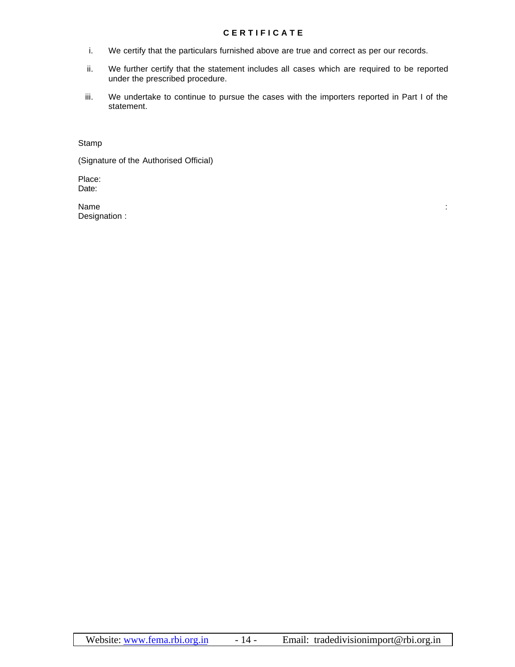### **C E R T I F I C A T E**

- i. We certify that the particulars furnished above are true and correct as per our records.
- ii. We further certify that the statement includes all cases which are required to be reported under the prescribed procedure.
- iii. We undertake to continue to pursue the cases with the importers reported in Part I of the statement.

Stamp

(Signature of the Authorised Official)

Place: Date:

Name : Designation :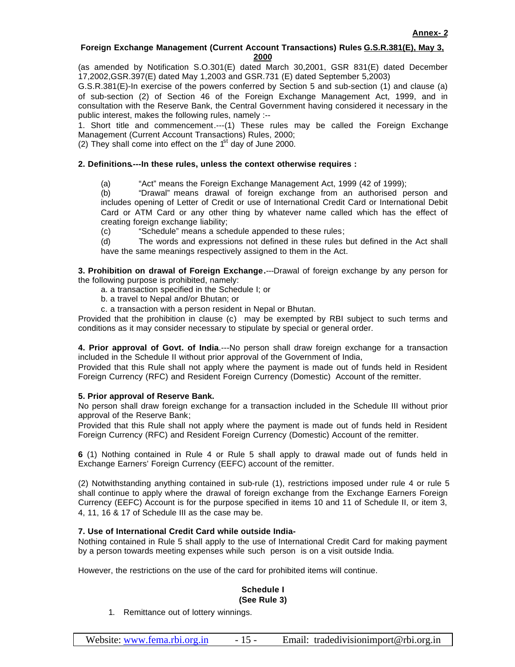### **Foreign Exchange Management (Current Account Transactions) Rules G.S.R.381(E), May 3, 2000**

(as amended by Notification S.O.301(E) dated March 30,2001, GSR 831(E) dated December 17,2002,GSR.397(E) dated May 1,2003 and GSR.731 (E) dated September 5,2003)

G.S.R.381(E)-In exercise of the powers conferred by Section 5 and sub-section (1) and clause (a) of sub-section (2) of Section 46 of the Foreign Exchange Management Act, 1999, and in consultation with the Reserve Bank, the Central Government having considered it necessary in the public interest, makes the following rules, namely :--

1. Short title and commencement.---(1) These rules may be called the Foreign Exchange Management (Current Account Transactions) Rules, 2000;

(2) They shall come into effect on the  $1<sup>st</sup>$  day of June 2000.

### **2. Definitions.---In these rules, unless the context otherwise requires :**

(a) "Act" means the Foreign Exchange Management Act, 1999 (42 of 1999);

(b) "Drawal" means drawal of foreign exchange from an authorised person and includes opening of Letter of Credit or use of International Credit Card or International Debit Card or ATM Card or any other thing by whatever name called which has the effect of creating foreign exchange liability;

(c) "Schedule" means a schedule appended to these rules;

(d) The words and expressions not defined in these rules but defined in the Act shall have the same meanings respectively assigned to them in the Act.

**3. Prohibition on drawal of Foreign Exchange.**---Drawal of foreign exchange by any person for the following purpose is prohibited, namely:

- a. a transaction specified in the Schedule I; or
- b. a travel to Nepal and/or Bhutan; or
- c. a transaction with a person resident in Nepal or Bhutan.

Provided that the prohibition in clause (c) may be exempted by RBI subject to such terms and conditions as it may consider necessary to stipulate by special or general order.

**4. Prior approval of Govt. of India**.---No person shall draw foreign exchange for a transaction included in the Schedule II without prior approval of the Government of India,

Provided that this Rule shall not apply where the payment is made out of funds held in Resident Foreign Currency (RFC) and Resident Foreign Currency (Domestic) Account of the remitter.

#### **5. Prior approval of Reserve Bank.**

No person shall draw foreign exchange for a transaction included in the Schedule III without prior approval of the Reserve Bank;

Provided that this Rule shall not apply where the payment is made out of funds held in Resident Foreign Currency (RFC) and Resident Foreign Currency (Domestic) Account of the remitter.

**6** (1) Nothing contained in Rule 4 or Rule 5 shall apply to drawal made out of funds held in Exchange Earners' Foreign Currency (EEFC) account of the remitter.

(2) Notwithstanding anything contained in sub-rule (1), restrictions imposed under rule 4 or rule 5 shall continue to apply where the drawal of foreign exchange from the Exchange Earners Foreign Currency (EEFC) Account is for the purpose specified in items 10 and 11 of Schedule II, or item 3, 4, 11, 16 & 17 of Schedule III as the case may be.

#### **7. Use of International Credit Card while outside India-**

Nothing contained in Rule 5 shall apply to the use of International Credit Card for making payment by a person towards meeting expenses while such person is on a visit outside India.

However, the restrictions on the use of the card for prohibited items will continue.

#### **Schedule I (See Rule 3)**

1. Remittance out of lottery winnings.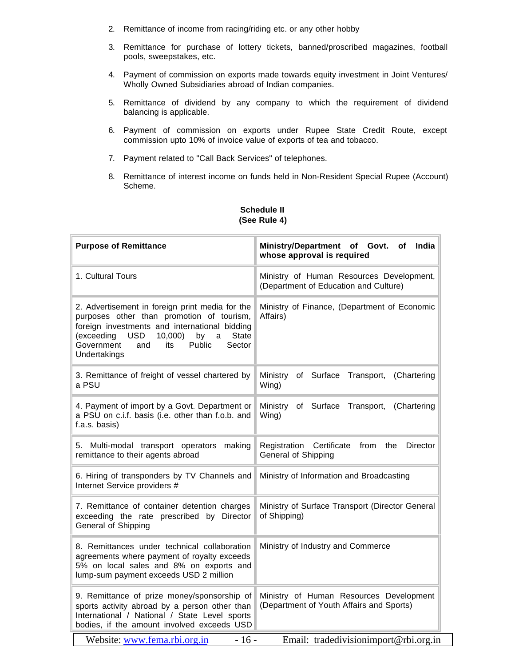- 2. Remittance of income from racing/riding etc. or any other hobby
- 3. Remittance for purchase of lottery tickets, banned/proscribed magazines, football pools, sweepstakes, etc.
- 4. Payment of commission on exports made towards equity investment in Joint Ventures/ Wholly Owned Subsidiaries abroad of Indian companies.
- 5. Remittance of dividend by any company to which the requirement of dividend balancing is applicable.
- 6. Payment of commission on exports under Rupee State Credit Route, except commission upto 10% of invoice value of exports of tea and tobacco.
- 7. Payment related to "Call Back Services" of telephones.
- 8. Remittance of interest income on funds held in Non-Resident Special Rupee (Account) Scheme.

| <b>Purpose of Remittance</b>                                                                                                                                                                                                                                                   | Ministry/Department of Govt. of<br>India<br>whose approval is required              |  |
|--------------------------------------------------------------------------------------------------------------------------------------------------------------------------------------------------------------------------------------------------------------------------------|-------------------------------------------------------------------------------------|--|
| 1. Cultural Tours                                                                                                                                                                                                                                                              | Ministry of Human Resources Development,<br>(Department of Education and Culture)   |  |
| 2. Advertisement in foreign print media for the<br>purposes other than promotion of tourism,<br>foreign investments and international bidding<br><b>USD</b><br>10,000<br><b>State</b><br>(exceeding<br>by<br>a<br>Government<br>Sector<br>and<br>its<br>Public<br>Undertakings | Ministry of Finance, (Department of Economic<br>Affairs)                            |  |
| 3. Remittance of freight of vessel chartered by<br>a PSU                                                                                                                                                                                                                       | Ministry<br>of Surface<br>Transport, (Chartering<br>Wing)                           |  |
| 4. Payment of import by a Govt. Department or<br>a PSU on c.i.f. basis (i.e. other than f.o.b. and<br>f.a.s. basis)                                                                                                                                                            | Ministry<br>of Surface<br>Transport, (Chartering<br>Wing)                           |  |
| 5. Multi-modal transport operators<br>making<br>remittance to their agents abroad                                                                                                                                                                                              | Director<br>Registration<br>Certificate<br>from<br>the<br>General of Shipping       |  |
| 6. Hiring of transponders by TV Channels and<br>Internet Service providers #                                                                                                                                                                                                   | Ministry of Information and Broadcasting                                            |  |
| 7. Remittance of container detention charges<br>exceeding the rate prescribed by Director<br>General of Shipping                                                                                                                                                               | Ministry of Surface Transport (Director General<br>of Shipping)                     |  |
| 8. Remittances under technical collaboration<br>agreements where payment of royalty exceeds<br>5% on local sales and 8% on exports and<br>lump-sum payment exceeds USD 2 million                                                                                               | Ministry of Industry and Commerce                                                   |  |
| 9. Remittance of prize money/sponsorship of<br>sports activity abroad by a person other than<br>International / National / State Level sports<br>bodies, if the amount involved exceeds USD                                                                                    | Ministry of Human Resources Development<br>(Department of Youth Affairs and Sports) |  |
| Website: www.fema.rbi.org.in<br>Email: tradedivisionimport@rbi.org.in<br>$-16-$                                                                                                                                                                                                |                                                                                     |  |

# **Schedule II (See Rule 4)**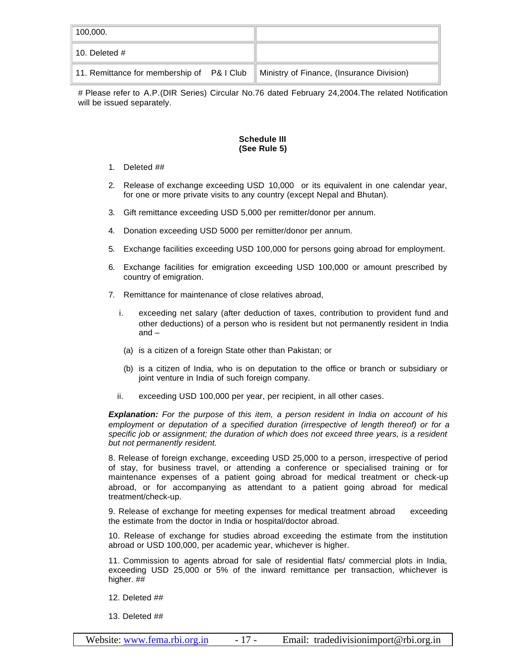| 100,000.                                   |                                           |
|--------------------------------------------|-------------------------------------------|
| 10. Deleted $#$                            |                                           |
| 11. Remittance for membership of P& I Club | Ministry of Finance, (Insurance Division) |

# Please refer to A.P.(DIR Series) Circular No.76 dated February 24,2004.The related Notification will be issued separately.

## **Schedule III (See Rule 5)**

- 1. Deleted ##
- 2. Release of exchange exceeding USD 10,000 or its equivalent in one calendar year, for one or more private visits to any country (except Nepal and Bhutan).
- 3. Gift remittance exceeding USD 5,000 per remitter/donor per annum.
- 4. Donation exceeding USD 5000 per remitter/donor per annum.
- 5. Exchange facilities exceeding USD 100,000 for persons going abroad for employment.
- 6. Exchange facilities for emigration exceeding USD 100,000 or amount prescribed by country of emigration.
- 7. Remittance for maintenance of close relatives abroad,
	- i. exceeding net salary (after deduction of taxes, contribution to provident fund and other deductions) of a person who is resident but not permanently resident in India and –
	- (a) is a citizen of a foreign State other than Pakistan; or
	- (b) is a citizen of India, who is on deputation to the office or branch or subsidiary or joint venture in India of such foreign company.
	- ii. exceeding USD 100,000 per year, per recipient, in all other cases.

*Explanation: For the purpose of this item, a person resident in India on account of his employment or deputation of a specified duration (irrespective of length thereof) or for a specific job or assignment; the duration of which does not exceed three years, is a resident but not permanently resident.*

8. Release of foreign exchange, exceeding USD 25,000 to a person, irrespective of period of stay, for business travel, or attending a conference or specialised training or for maintenance expenses of a patient going abroad for medical treatment or check-up abroad, or for accompanying as attendant to a patient going abroad for medical treatment/check-up.

9. Release of exchange for meeting expenses for medical treatment abroad exceeding the estimate from the doctor in India or hospital/doctor abroad.

10. Release of exchange for studies abroad exceeding the estimate from the institution abroad or USD 100,000, per academic year, whichever is higher.

11. Commission to agents abroad for sale of residential flats/ commercial plots in India, exceeding USD 25,000 or 5% of the inward remittance per transaction, whichever is higher. ##

12. Deleted ##

13. Deleted ##